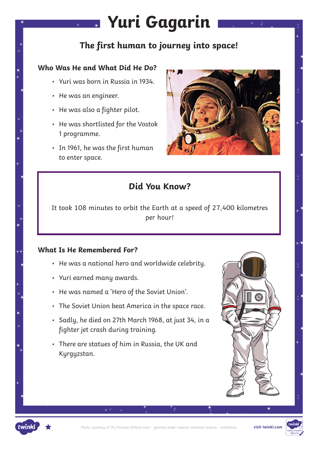# **Yuri Gagarin**

## **The first human to journey into space!**

### **Who Was He and What Did He Do?**

- Yuri was born in Russia in 1934.
- He was an engineer.
- He was also a fighter pilot.
- He was shortlisted for the Vostok 1 programme.
- In 1961, he was the first human to enter space.



## **Did You Know?**

It took 108 minutes to orbit the Earth at a speed of 27,400 kilometres per hour!

#### **What Is He Remembered For?**

- He was a national hero and worldwide celebrity.
- Yuri earned many awards.
- He was named a 'Hero of the Soviet Union'.
- The Soviet Union beat America in the space race.
- Sadly, he died on 27th March 1968, at just 34, in a fighter jet crash during training.
- There are statues of him in Russia, the UK and Kyrgyzstan.





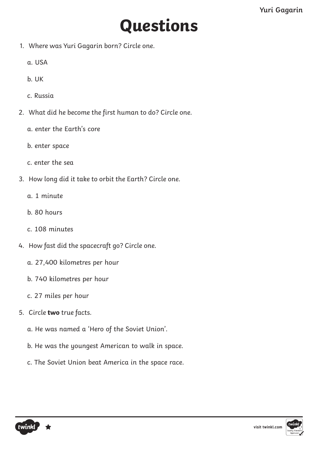# **Questions**

- 1. Where was Yuri Gagarin born? Circle one.
	- a. USA
	- b. UK
	- c. Russia
- 2. What did he become the first human to do? Circle one.
	- a. enter the Earth's core
	- b. enter space
	- c. enter the sea
- 3. How long did it take to orbit the Earth? Circle one.
	- a. 1 minute
	- b. 80 hours
	- c. 108 minutes
- 4. How fast did the spacecraft go? Circle one.
	- a. 27,400 kilometres per hour
	- b. 740 kilometres per hour
	- c. 27 miles per hour
- 5. Circle **two** true facts.
	- a. He was named a 'Hero of the Soviet Union'.
	- b. He was the youngest American to walk in space.
	- c. The Soviet Union beat America in the space race.



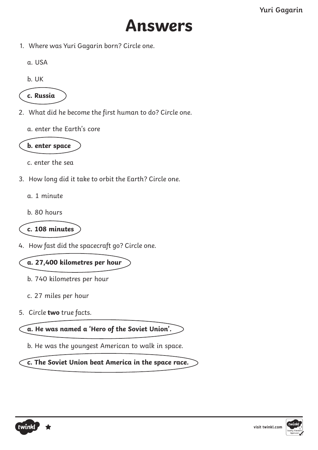

1. Where was Yuri Gagarin born? Circle one.

a. USA

b. UK



- 2. What did he become the first human to do? Circle one.
	- a. enter the Earth's core



c. enter the sea

- 3. How long did it take to orbit the Earth? Circle one.
	- a. 1 minute
	- b. 80 hours

**c. 108 minutes**

4. How fast did the spacecraft go? Circle one.

**a. 27,400 kilometres per hour**

- b. 740 kilometres per hour
- c. 27 miles per hour
- 5. Circle **two** true facts.

**a. He was named a 'Hero of the Soviet Union'.**

b. He was the youngest American to walk in space.

**c. The Soviet Union beat America in the space race.**



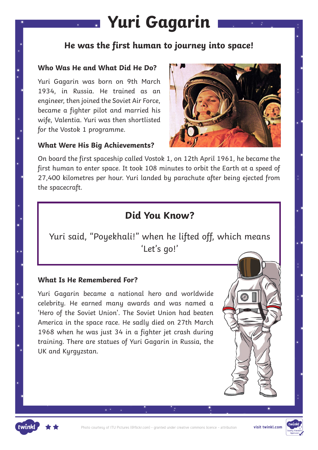## **Yuri Gagarin**

## **He was the first human to journey into space!**

#### **Who Was He and What Did He Do?**

Yuri Gagarin was born on 9th March 1934, in Russia. He trained as an engineer, then joined the Soviet Air Force, became a fighter pilot and married his wife, Valentia. Yuri was then shortlisted for the Vostok 1 programme.





On board the first spaceship called Vostok 1, on 12th April 1961, he became the first human to enter space. It took 108 minutes to orbit the Earth at a speed of 27,400 kilometres per hour. Yuri landed by parachute after being ejected from the spacecraft.

## **Did You Know?**

Yuri said, "Poyekhali!" when he lifted off, which means 'Let's go!'

#### **What Is He Remembered For?**

Yuri Gagarin became a national hero and worldwide celebrity. He earned many awards and was named a 'Hero of the Soviet Union'. The Soviet Union had beaten America in the space race. He sadly died on 27th March 1968 when he was just 34 in a fighter jet crash during training. There are statues of Yuri Gagarin in Russia, the UK and Kyrgyzstan.



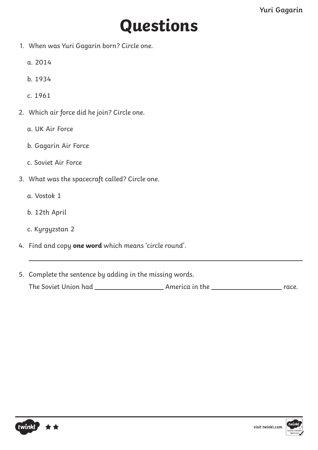# **Questions**

- 1. When was Yuri Gagarin born? Circle one.
	- a. 2014
	- b. 1934
	- c. 1961
- 2. Which air force did he join? Circle one.
	- a. UK Air Force
	- b. Gagarin Air Force
	- c. Soviet Air Force
- 3. What was the spacecraft called? Circle one.
	- a. Vostok 1
	- b. 12th April
	- c. Kyrgyzstan 2
- 4. Find and copy **one word** which means 'circle round'.
- 5. Complete the sentence by adding in the missing words. The Soviet Union had America in the race.



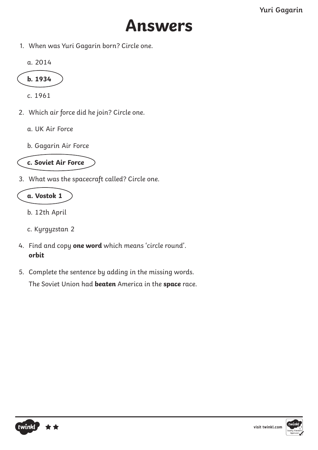

1. When was Yuri Gagarin born? Circle one.

a. 2014

$$
\boxed{\phantom{0}} \text{b. 1934}
$$

c. 1961

- 2. Which air force did he join? Circle one.
	- a. UK Air Force
	- b. Gagarin Air Force



3. What was the spacecraft called? Circle one.

### **a. Vostok 1**

- b. 12th April
- c. Kyrgyzstan 2
- 4. Find and copy **one word** which means 'circle round'. **orbit**
- 5. Complete the sentence by adding in the missing words.

The Soviet Union had **beaten** America in the **space** race.



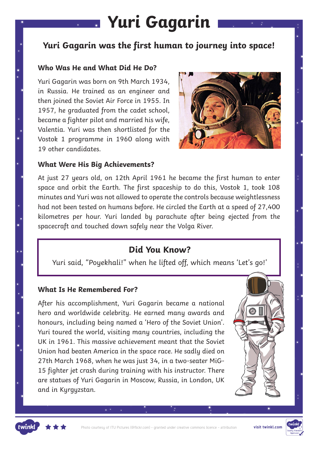## **Yuri Gagarin**

### **Yuri Gagarin was the first human to journey into space!**

#### **Who Was He and What Did He Do?**

Yuri Gagarin was born on 9th March 1934, in Russia. He trained as an engineer and then joined the Soviet Air Force in 1955. In 1957, he graduated from the cadet school, became a fighter pilot and married his wife, Valentia. Yuri was then shortlisted for the Vostok 1 programme in 1960 along with 19 other candidates.



#### **What Were His Big Achievements?**

At just 27 years old, on 12th April 1961 he became the first human to enter space and orbit the Earth. The first spaceship to do this, Vostok 1, took 108 minutes and Yuri was not allowed to operate the controls because weightlessness had not been tested on humans before. He circled the Earth at a speed of 27,400 kilometres per hour. Yuri landed by parachute after being ejected from the spacecraft and touched down safely near the Volga River.

### **Did You Know?**

Yuri said, "Poyekhali!" when he lifted off, which means 'Let's go!'

#### **What Is He Remembered For?**

After his accomplishment, Yuri Gagarin became a national hero and worldwide celebrity. He earned many awards and honours, including being named a 'Hero of the Soviet Union'. Yuri toured the world, visiting many countries, including the UK in 1961. This massive achievement meant that the Soviet Union had beaten America in the space race. He sadly died on 27th March 1968, when he was just 34, in a two-seater MiG-15 fighter jet crash during training with his instructor. There are statues of Yuri Gagarin in Moscow, Russia, in London, UK and in Kyrgyzstan.





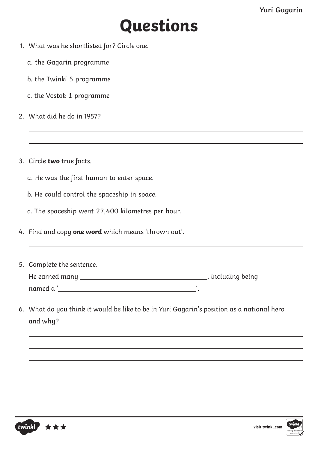## **Questions**

- 1. What was he shortlisted for? Circle one.
	- a. the Gagarin programme
	- b. the Twinkl 5 programme
	- c. the Vostok 1 programme
- 2. What did he do in 1957?
- 3. Circle **two** true facts.
	- a. He was the first human to enter space.
	- b. He could control the spaceship in space.
	- c. The spaceship went 27,400 kilometres per hour.
- 4. Find and copy **one word** which means 'thrown out'.
- 5. Complete the sentence. He earned many , including being named a ' '.
- 6. What do you think it would be like to be in Yuri Gagarin's position as a national hero and why?